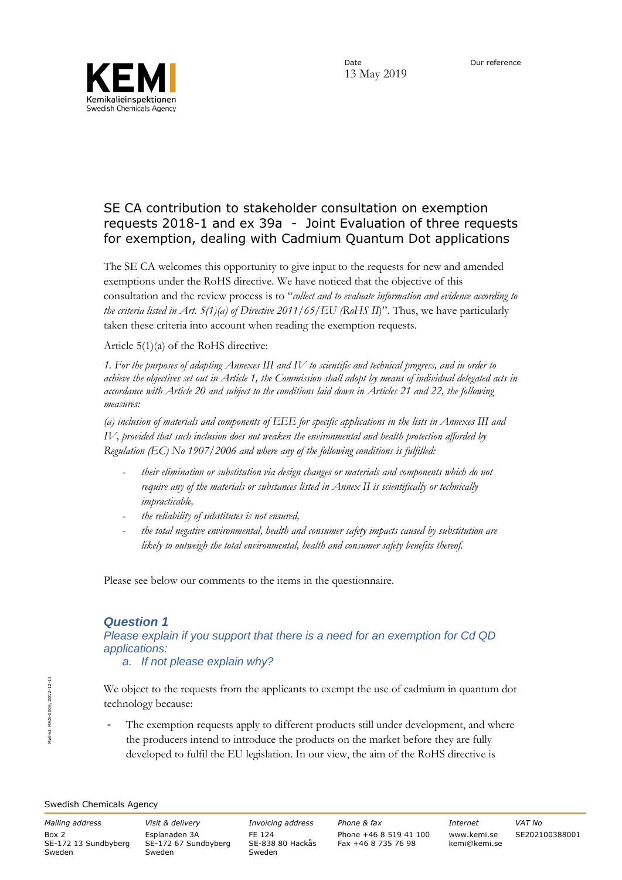Our reference



Date 13 May 2019

# SE CA contribution to stakeholder consultation on exemption requests 2018-1 and ex 39a - Joint Evaluation of three requests for exemption, dealing with Cadmium Quantum Dot applications

The SE CA welcomes this opportunity to give input to the requests for new and amended exemptions under the RoHS directive. We have noticed that the objective of this consultation and the review process is to "*collect and to evaluate information and evidence according to the criteria listed in Art. 5(1)(a) of Directive 2011/65/EU (RoHS II*)". Thus, we have particularly taken these criteria into account when reading the exemption requests.

#### Article 5(1)(a) of the RoHS directive:

*1. For the purposes of adapting Annexes III and IV to scientific and technical progress, and in order to achieve the objectives set out in Article 1, the Commission shall adopt by means of individual delegated acts in accordance with Article 20 and subject to the conditions laid down in Articles 21 and 22, the following measures:* 

*(a) inclusion of materials and components of EEE for specific applications in the lists in Annexes III and IV, provided that such inclusion does not weaken the environmental and health protection afforded by Regulation (EC) No 1907/2006 and where any of the following conditions is fulfilled:*

- *their elimination or substitution via design changes or materials and components which do not require any of the materials or substances listed in Annex II is scientifically or technically impracticable,*
- *the reliability of substitutes is not ensured,*
- *the total negative environmental, health and consumer safety impacts caused by substitution are likely to outweigh the total environmental, health and consumer safety benefits thereof.*

Please see below our comments to the items in the questionnaire.

## *Question 1*

*Please explain if you support that there is a need for an exemption for Cd QD applications:* 

*a. If not please explain why?* 

We object to the requests from the applicants to exempt the use of cadmium in quantum dot technology because:

The exemption requests apply to different products still under development, and where the producers intend to introduce the products on the market before they are fully developed to fulfil the EU legislation. In our view, the aim of the RoHS directive is

Swedish Chemicals Agency

Box 2 SE-172 13 Sundbyberg Sweden

Esplanaden 3A SE-172 67 Sundbyberg Sweden

FE 124 SE-838 80 Hackås Sweden

*Mailing address Visit & delivery Invoicing address Phone & fax Internet VAT No* Phone +46 8 519 41 100 Fax +46 8 735 76 98

www.kemi.se kemi@kemi.se SE202100388001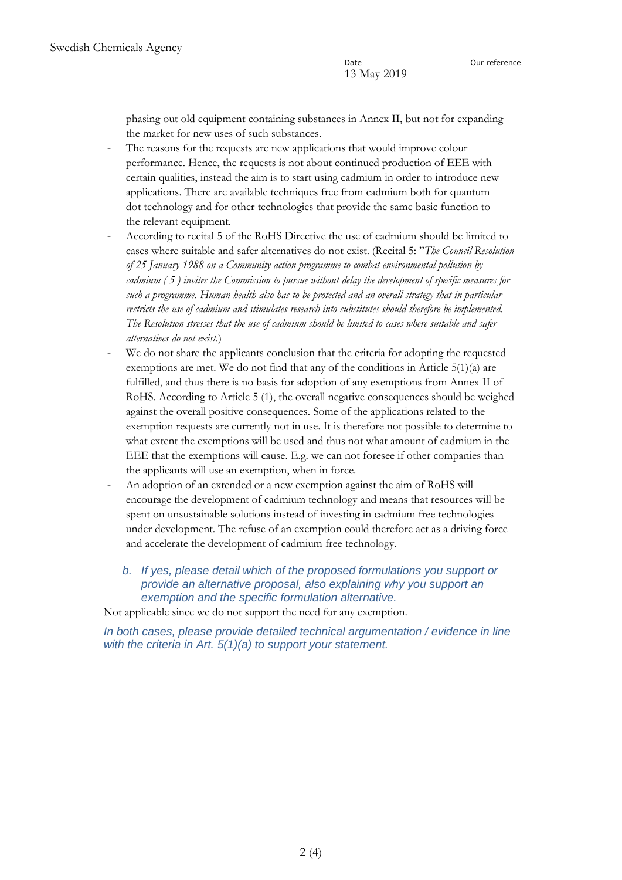Date 13 May 2019

phasing out old equipment containing substances in Annex II, but not for expanding the market for new uses of such substances.

- The reasons for the requests are new applications that would improve colour performance. Hence, the requests is not about continued production of EEE with certain qualities, instead the aim is to start using cadmium in order to introduce new applications. There are available techniques free from cadmium both for quantum dot technology and for other technologies that provide the same basic function to the relevant equipment.
- According to recital 5 of the RoHS Directive the use of cadmium should be limited to cases where suitable and safer alternatives do not exist. (Recital 5: "*The Council Resolution of 25 January 1988 on a Community action programme to combat environmental pollution by cadmium ( 5 ) invites the Commission to pursue without delay the development of specific measures for such a programme. Human health also has to be protected and an overall strategy that in particular restricts the use of cadmium and stimulates research into substitutes should therefore be implemented. The Resolution stresses that the use of cadmium should be limited to cases where suitable and safer alternatives do not exist.*)
- We do not share the applicants conclusion that the criteria for adopting the requested exemptions are met. We do not find that any of the conditions in Article  $5(1)(a)$  are fulfilled, and thus there is no basis for adoption of any exemptions from Annex II of RoHS. According to Article 5 (1), the overall negative consequences should be weighed against the overall positive consequences. Some of the applications related to the exemption requests are currently not in use. It is therefore not possible to determine to what extent the exemptions will be used and thus not what amount of cadmium in the EEE that the exemptions will cause. E.g. we can not foresee if other companies than the applicants will use an exemption, when in force.
- An adoption of an extended or a new exemption against the aim of RoHS will encourage the development of cadmium technology and means that resources will be spent on unsustainable solutions instead of investing in cadmium free technologies under development. The refuse of an exemption could therefore act as a driving force and accelerate the development of cadmium free technology.
	- *b. If yes, please detail which of the proposed formulations you support or provide an alternative proposal, also explaining why you support an exemption and the specific formulation alternative.*

Not applicable since we do not support the need for any exemption.

*In both cases, please provide detailed technical argumentation / evidence in line with the criteria in Art. 5(1)(a) to support your statement.*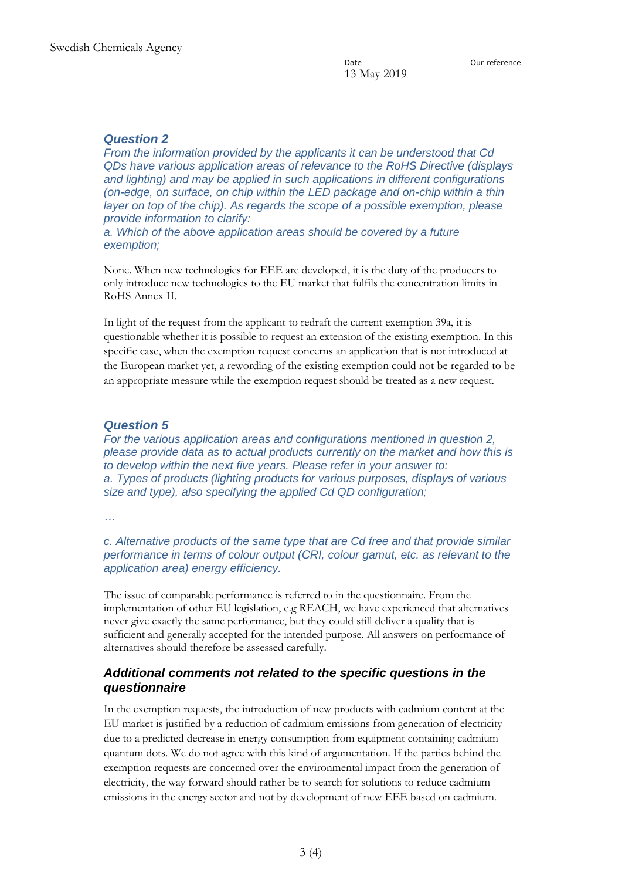Date 13 May 2019

### *Question 2*

*From the information provided by the applicants it can be understood that Cd QDs have various application areas of relevance to the RoHS Directive (displays and lighting) and may be applied in such applications in different configurations (on-edge, on surface, on chip within the LED package and on-chip within a thin layer on top of the chip). As regards the scope of a possible exemption, please provide information to clarify:* 

*a. Which of the above application areas should be covered by a future exemption;* 

None. When new technologies for EEE are developed, it is the duty of the producers to only introduce new technologies to the EU market that fulfils the concentration limits in RoHS Annex II.

In light of the request from the applicant to redraft the current exemption 39a, it is questionable whether it is possible to request an extension of the existing exemption. In this specific case, when the exemption request concerns an application that is not introduced at the European market yet, a rewording of the existing exemption could not be regarded to be an appropriate measure while the exemption request should be treated as a new request.

### *Question 5*

*For the various application areas and configurations mentioned in question 2, please provide data as to actual products currently on the market and how this is to develop within the next five years. Please refer in your answer to: a. Types of products (lighting products for various purposes, displays of various size and type), also specifying the applied Cd QD configuration;* 

*…*

*c. Alternative products of the same type that are Cd free and that provide similar performance in terms of colour output (CRI, colour gamut, etc. as relevant to the application area) energy efficiency.* 

The issue of comparable performance is referred to in the questionnaire. From the implementation of other EU legislation, e.g REACH, we have experienced that alternatives never give exactly the same performance, but they could still deliver a quality that is sufficient and generally accepted for the intended purpose. All answers on performance of alternatives should therefore be assessed carefully.

## *Additional comments not related to the specific questions in the questionnaire*

In the exemption requests, the introduction of new products with cadmium content at the EU market is justified by a reduction of cadmium emissions from generation of electricity due to a predicted decrease in energy consumption from equipment containing cadmium quantum dots. We do not agree with this kind of argumentation. If the parties behind the exemption requests are concerned over the environmental impact from the generation of electricity, the way forward should rather be to search for solutions to reduce cadmium emissions in the energy sector and not by development of new EEE based on cadmium.